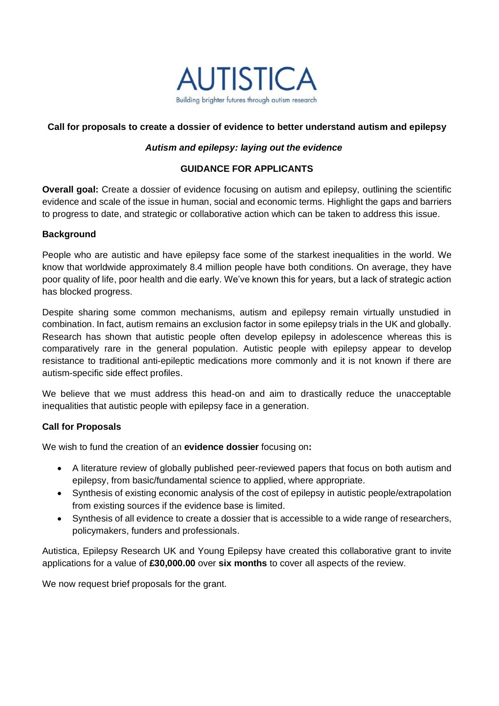

## **Call for proposals to create a dossier of evidence to better understand autism and epilepsy**

#### *Autism and epilepsy: laying out the evidence*

### **GUIDANCE FOR APPLICANTS**

**Overall goal:** Create a dossier of evidence focusing on autism and epilepsy, outlining the scientific evidence and scale of the issue in human, social and economic terms. Highlight the gaps and barriers to progress to date, and strategic or collaborative action which can be taken to address this issue.

### **Background**

People who are autistic and have epilepsy face some of the starkest inequalities in the world. We know that worldwide approximately 8.4 million people have both conditions. On average, they have poor quality of life, poor health and die early. We've known this for years, but a lack of strategic action has blocked progress.

Despite sharing some common mechanisms, autism and epilepsy remain virtually unstudied in combination. In fact, autism remains an exclusion factor in some epilepsy trials in the UK and globally. Research has shown that autistic people often develop epilepsy in adolescence whereas this is comparatively rare in the general population. Autistic people with epilepsy appear to develop resistance to traditional anti-epileptic medications more commonly and it is not known if there are autism-specific side effect profiles.

We believe that we must address this head-on and aim to drastically reduce the unacceptable inequalities that autistic people with epilepsy face in a generation.

### **Call for Proposals**

We wish to fund the creation of an **evidence dossier** focusing on**:**

- A literature review of globally published peer-reviewed papers that focus on both autism and epilepsy, from basic/fundamental science to applied, where appropriate.
- Synthesis of existing economic analysis of the cost of epilepsy in autistic people/extrapolation from existing sources if the evidence base is limited.
- Synthesis of all evidence to create a dossier that is accessible to a wide range of researchers, policymakers, funders and professionals.

Autistica, Epilepsy Research UK and Young Epilepsy have created this collaborative grant to invite applications for a value of **£30,000.00** over **six months** to cover all aspects of the review.

We now request brief proposals for the grant.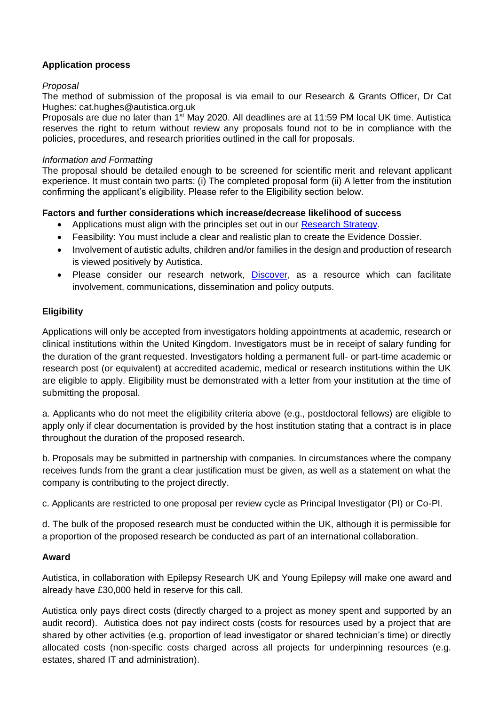# **Application process**

### *Proposal*

The method of submission of the proposal is via email to our Research & Grants Officer, Dr Cat Hughes: cat.hughes@autistica.org.uk

Proposals are due no later than 1<sup>st</sup> May 2020. All deadlines are at 11:59 PM local UK time. Autistica reserves the right to return without review any proposals found not to be in compliance with the policies, procedures, and research priorities outlined in the call for proposals.

### *Information and Formatting*

The proposal should be detailed enough to be screened for scientific merit and relevant applicant experience. It must contain two parts: (i) The completed proposal form (ii) A letter from the institution confirming the applicant's eligibility. Please refer to the Eligibility section below.

## **Factors and further considerations which increase/decrease likelihood of success**

- Applications must align with the principles set out in our [Research Strategy.](https://www.autistica.org.uk/our-research/research-strategy)
- Feasibility: You must include a clear and realistic plan to create the Evidence Dossier.
- Involvement of autistic adults, children and/or families in the design and production of research is viewed positively by Autistica.
- Please consider our research network, [Discover,](http://www.autistica.org.uk/our-research/discover-network) as a resource which can facilitate involvement, communications, dissemination and policy outputs.

# **Eligibility**

Applications will only be accepted from investigators holding appointments at academic, research or clinical institutions within the United Kingdom. Investigators must be in receipt of salary funding for the duration of the grant requested. Investigators holding a permanent full- or part-time academic or research post (or equivalent) at accredited academic, medical or research institutions within the UK are eligible to apply. Eligibility must be demonstrated with a letter from your institution at the time of submitting the proposal.

a. Applicants who do not meet the eligibility criteria above (e.g., postdoctoral fellows) are eligible to apply only if clear documentation is provided by the host institution stating that a contract is in place throughout the duration of the proposed research.

b. Proposals may be submitted in partnership with companies. In circumstances where the company receives funds from the grant a clear justification must be given, as well as a statement on what the company is contributing to the project directly.

c. Applicants are restricted to one proposal per review cycle as Principal Investigator (PI) or Co-PI.

d. The bulk of the proposed research must be conducted within the UK, although it is permissible for a proportion of the proposed research be conducted as part of an international collaboration.

# **Award**

Autistica, in collaboration with Epilepsy Research UK and Young Epilepsy will make one award and already have £30,000 held in reserve for this call.

Autistica only pays direct costs (directly charged to a project as money spent and supported by an audit record). Autistica does not pay indirect costs (costs for resources used by a project that are shared by other activities (e.g. proportion of lead investigator or shared technician's time) or directly allocated costs (non-specific costs charged across all projects for underpinning resources (e.g. estates, shared IT and administration).